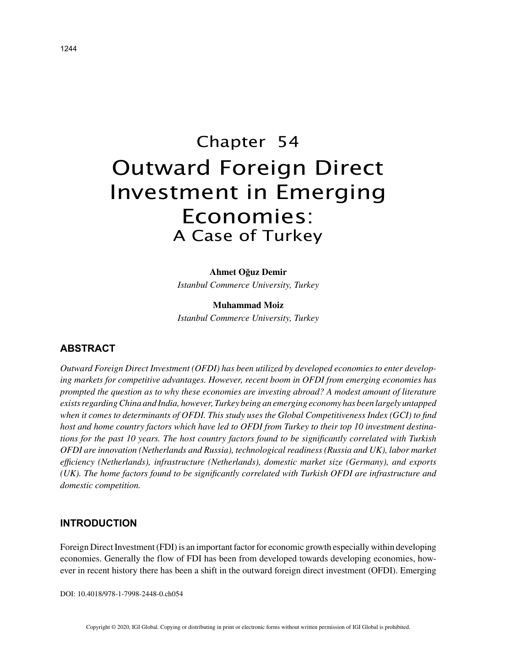# Chapter 54 Outward Foreign Direct Investment in Emerging Economies: A Case of Turkey

## **Ahmet Oğuz Demir**

*Istanbul Commerce University, Turkey*

**Muhammad Moiz** *Istanbul Commerce University, Turkey*

## **ABSTRACT**

*Outward Foreign Direct Investment (OFDI) has been utilized by developed economies to enter developing markets for competitive advantages. However, recent boom in OFDI from emerging economies has prompted the question as to why these economies are investing abroad? A modest amount of literature exists regarding China and India, however, Turkey being an emerging economy has been largely untapped when it comes to determinants of OFDI. This study uses the Global Competitiveness Index (GCI) to find host and home country factors which have led to OFDI from Turkey to their top 10 investment destinations for the past 10 years. The host country factors found to be significantly correlated with Turkish OFDI are innovation (Netherlands and Russia), technological readiness (Russia and UK), labor market efficiency (Netherlands), infrastructure (Netherlands), domestic market size (Germany), and exports (UK). The home factors found to be significantly correlated with Turkish OFDI are infrastructure and domestic competition.*

## **INTRODUCTION**

Foreign Direct Investment (FDI) is an important factor for economic growth especially within developing economies. Generally the flow of FDI has been from developed towards developing economies, however in recent history there has been a shift in the outward foreign direct investment (OFDI). Emerging

DOI: 10.4018/978-1-7998-2448-0.ch054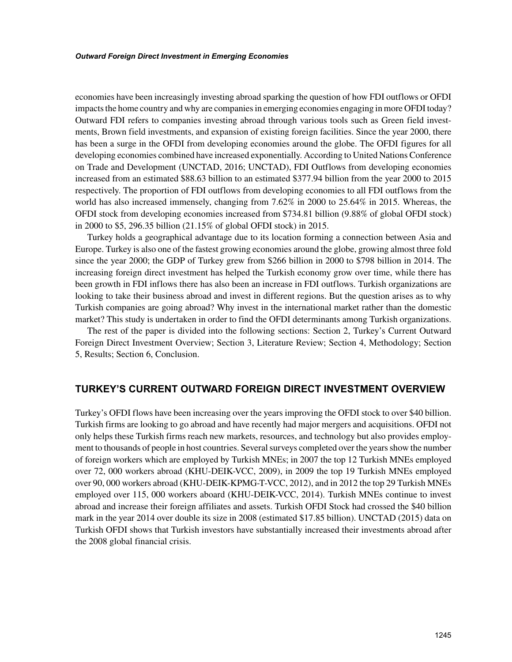economies have been increasingly investing abroad sparking the question of how FDI outflows or OFDI impacts the home country and why are companies in emerging economies engaging in more OFDI today? Outward FDI refers to companies investing abroad through various tools such as Green field investments, Brown field investments, and expansion of existing foreign facilities. Since the year 2000, there has been a surge in the OFDI from developing economies around the globe. The OFDI figures for all developing economies combined have increased exponentially. According to United Nations Conference on Trade and Development (UNCTAD, 2016; UNCTAD), FDI Outflows from developing economies increased from an estimated \$88.63 billion to an estimated \$377.94 billion from the year 2000 to 2015 respectively. The proportion of FDI outflows from developing economies to all FDI outflows from the world has also increased immensely, changing from 7.62% in 2000 to 25.64% in 2015. Whereas, the OFDI stock from developing economies increased from \$734.81 billion (9.88% of global OFDI stock) in 2000 to \$5, 296.35 billion (21.15% of global OFDI stock) in 2015.

Turkey holds a geographical advantage due to its location forming a connection between Asia and Europe. Turkey is also one of the fastest growing economies around the globe, growing almost three fold since the year 2000; the GDP of Turkey grew from \$266 billion in 2000 to \$798 billion in 2014. The increasing foreign direct investment has helped the Turkish economy grow over time, while there has been growth in FDI inflows there has also been an increase in FDI outflows. Turkish organizations are looking to take their business abroad and invest in different regions. But the question arises as to why Turkish companies are going abroad? Why invest in the international market rather than the domestic market? This study is undertaken in order to find the OFDI determinants among Turkish organizations.

The rest of the paper is divided into the following sections: Section 2, Turkey's Current Outward Foreign Direct Investment Overview; Section 3, Literature Review; Section 4, Methodology; Section 5, Results; Section 6, Conclusion.

#### **TURKEY'S CURRENT OUTWARD FOREIGN DIRECT INVESTMENT OVERVIEW**

Turkey's OFDI flows have been increasing over the years improving the OFDI stock to over \$40 billion. Turkish firms are looking to go abroad and have recently had major mergers and acquisitions. OFDI not only helps these Turkish firms reach new markets, resources, and technology but also provides employment to thousands of people in host countries. Several surveys completed over the years show the number of foreign workers which are employed by Turkish MNEs; in 2007 the top 12 Turkish MNEs employed over 72, 000 workers abroad (KHU-DEIK-VCC, 2009), in 2009 the top 19 Turkish MNEs employed over 90, 000 workers abroad (KHU-DEIK-KPMG-T-VCC, 2012), and in 2012 the top 29 Turkish MNEs employed over 115, 000 workers aboard (KHU-DEIK-VCC, 2014). Turkish MNEs continue to invest abroad and increase their foreign affiliates and assets. Turkish OFDI Stock had crossed the \$40 billion mark in the year 2014 over double its size in 2008 (estimated \$17.85 billion). UNCTAD (2015) data on Turkish OFDI shows that Turkish investors have substantially increased their investments abroad after the 2008 global financial crisis.